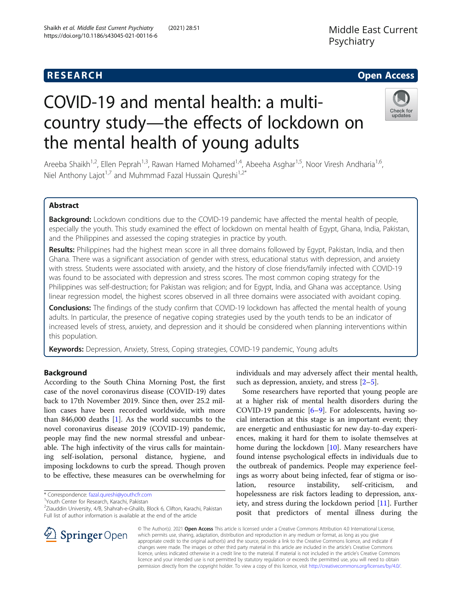https://doi.org/10.1186/s43045-021-00116-6

Shaikh et al. Middle East Current Psychiatry (2021) 28:51

# **RESEARCH CHE Open Access**

# COVID-19 and mental health: a multicountry study—the effects of lockdown on the mental health of young adults



Areeba Shaikh<sup>1,2</sup>, Ellen Peprah<sup>1,3</sup>, Rawan Hamed Mohamed<sup>1,4</sup>, Abeeha Asghar<sup>1,5</sup>, Noor Viresh Andharia<sup>1,6</sup>, Niel Anthony Lajot<sup>1,7</sup> and Muhmmad Fazal Hussain Qureshi<sup>1,2\*</sup>

## Abstract

Background: Lockdown conditions due to the COVID-19 pandemic have affected the mental health of people, especially the youth. This study examined the effect of lockdown on mental health of Egypt, Ghana, India, Pakistan, and the Philippines and assessed the coping strategies in practice by youth.

Results: Philippines had the highest mean score in all three domains followed by Egypt, Pakistan, India, and then Ghana. There was a significant association of gender with stress, educational status with depression, and anxiety with stress. Students were associated with anxiety, and the history of close friends/family infected with COVID-19 was found to be associated with depression and stress scores. The most common coping strategy for the Philippines was self-destruction; for Pakistan was religion; and for Egypt, India, and Ghana was acceptance. Using linear regression model, the highest scores observed in all three domains were associated with avoidant coping.

Conclusions: The findings of the study confirm that COVID-19 lockdown has affected the mental health of young adults. In particular, the presence of negative coping strategies used by the youth tends to be an indicator of increased levels of stress, anxiety, and depression and it should be considered when planning interventions within this population.

Keywords: Depression, Anxiety, Stress, Coping strategies, COVID-19 pandemic, Young adults

## Background

According to the South China Morning Post, the first case of the novel coronavirus disease (COVID-19) dates back to 17th November 2019. Since then, over 25.2 million cases have been recorded worldwide, with more than 846,000 deaths [[1\]](#page-8-0). As the world succumbs to the novel coronavirus disease 2019 (COVID-19) pandemic, people may find the new normal stressful and unbearable. The high infectivity of the virus calls for maintaining self-isolation, personal distance, hygiene, and imposing lockdowns to curb the spread. Though proven to be effective, these measures can be overwhelming for

\* Correspondence: [fazal.qureshi@youthcfr.com](mailto:fazal.qureshi@youthcfr.com) <sup>1</sup>

<sup>1</sup>Youth Center for Research, Karachi, Pakistan

<sup>2</sup>Ziauddin University, 4/B, Shahrah-e-Ghalib, Block 6, Clifton, Karachi, Pakistan Full list of author information is available at the end of the article



Some researchers have reported that young people are at a higher risk of mental health disorders during the COVID-19 pandemic [\[6](#page-8-0)–[9\]](#page-8-0). For adolescents, having social interaction at this stage is an important event; they are energetic and enthusiastic for new day-to-day experiences, making it hard for them to isolate themselves at home during the lockdown [[10\]](#page-8-0). Many researchers have found intense psychological effects in individuals due to the outbreak of pandemics. People may experience feelings as worry about being infected, fear of stigma or isolation, resource instability, self-criticism, hopelessness are risk factors leading to depression, anxiety, and stress during the lockdown period [[11](#page-8-0)]. Further posit that predictors of mental illness during the



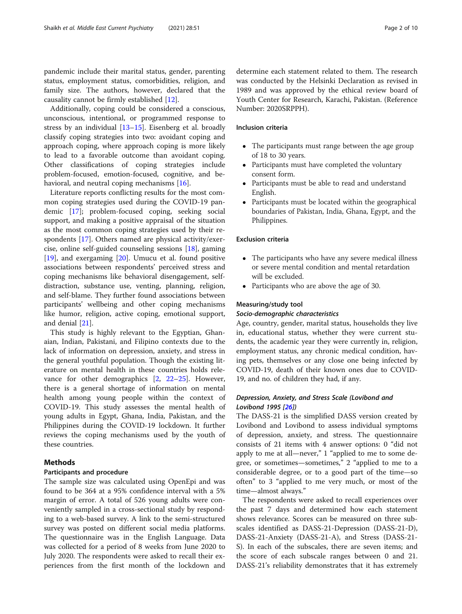pandemic include their marital status, gender, parenting status, employment status, comorbidities, religion, and family size. The authors, however, declared that the causality cannot be firmly established [[12\]](#page-8-0).

Additionally, coping could be considered a conscious, unconscious, intentional, or programmed response to stress by an individual [\[13](#page-8-0)–[15](#page-8-0)]. Eisenberg et al. broadly classify coping strategies into two: avoidant coping and approach coping, where approach coping is more likely to lead to a favorable outcome than avoidant coping. Other classifications of coping strategies include problem-focused, emotion-focused, cognitive, and be-havioral, and neutral coping mechanisms [\[16\]](#page-8-0).

Literature reports conflicting results for the most common coping strategies used during the COVID-19 pandemic [\[17](#page-8-0)]; problem-focused coping, seeking social support, and making a positive appraisal of the situation as the most common coping strategies used by their respondents [[17](#page-8-0)]. Others named are physical activity/exercise, online self-guided counseling sessions [[18\]](#page-8-0), gaming [[19\]](#page-9-0), and exergaming [[20\]](#page-9-0). Umucu et al. found positive associations between respondents' perceived stress and coping mechanisms like behavioral disengagement, selfdistraction, substance use, venting, planning, religion, and self-blame. They further found associations between participants' wellbeing and other coping mechanisms like humor, religion, active coping, emotional support, and denial [\[21](#page-9-0)].

This study is highly relevant to the Egyptian, Ghanaian, Indian, Pakistani, and Filipino contexts due to the lack of information on depression, anxiety, and stress in the general youthful population. Though the existing literature on mental health in these countries holds relevance for other demographics [\[2](#page-8-0), [22](#page-9-0)–[25\]](#page-9-0). However, there is a general shortage of information on mental health among young people within the context of COVID-19. This study assesses the mental health of young adults in Egypt, Ghana, India, Pakistan, and the Philippines during the COVID-19 lockdown. It further reviews the coping mechanisms used by the youth of these countries.

## Methods

## Participants and procedure

The sample size was calculated using OpenEpi and was found to be 364 at a 95% confidence interval with a 5% margin of error. A total of 526 young adults were conveniently sampled in a cross-sectional study by responding to a web-based survey. A link to the semi-structured survey was posted on different social media platforms. The questionnaire was in the English Language. Data was collected for a period of 8 weeks from June 2020 to July 2020. The respondents were asked to recall their experiences from the first month of the lockdown and

determine each statement related to them. The research was conducted by the Helsinki Declaration as revised in 1989 and was approved by the ethical review board of Youth Center for Research, Karachi, Pakistan. (Reference Number: 2020SRPPH).

## Inclusion criteria

- The participants must range between the age group of 18 to 30 years.
- Participants must have completed the voluntary consent form.
- Participants must be able to read and understand English.
- Participants must be located within the geographical boundaries of Pakistan, India, Ghana, Egypt, and the Philippines.

#### Exclusion criteria

- The participants who have any severe medical illness or severe mental condition and mental retardation will be excluded.
- Participants who are above the age of 30.

#### Measuring/study tool

#### Socio-demographic characteristics

Age, country, gender, marital status, households they live in, educational status, whether they were current students, the academic year they were currently in, religion, employment status, any chronic medical condition, having pets, themselves or any close one being infected by COVID-19, death of their known ones due to COVID-19, and no. of children they had, if any.

## Depression, Anxiety, and Stress Scale (Lovibond and Lovibond 1995 [[26\]](#page-9-0))

The DASS-21 is the simplified DASS version created by Lovibond and Lovibond to assess individual symptoms of depression, anxiety, and stress. The questionnaire consists of 21 items with 4 answer options: 0 "did not apply to me at all—never," 1 "applied to me to some degree, or sometimes—sometimes," 2 "applied to me to a considerable degree, or to a good part of the time—so often" to 3 "applied to me very much, or most of the time—almost always."

The respondents were asked to recall experiences over the past 7 days and determined how each statement shows relevance. Scores can be measured on three subscales identified as DASS-21-Depression (DASS-21-D), DASS-21-Anxiety (DASS-21-A), and Stress (DASS-21- S). In each of the subscales, there are seven items; and the score of each subscale ranges between 0 and 21. DASS-21's reliability demonstrates that it has extremely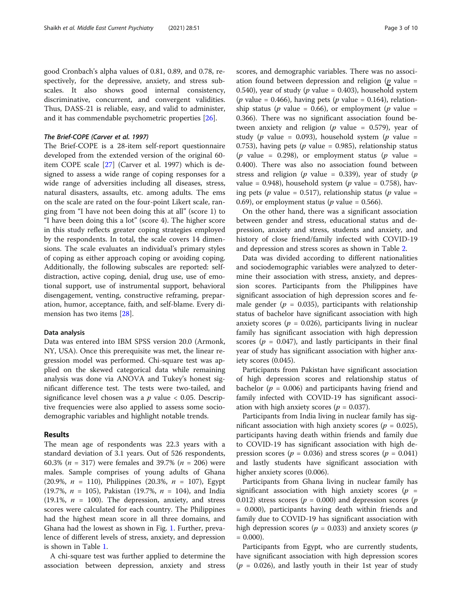good Cronbach's alpha values of 0.81, 0.89, and 0.78, respectively, for the depressive, anxiety, and stress subscales. It also shows good internal consistency, discriminative, concurrent, and convergent validities. Thus, DASS-21 is reliable, easy, and valid to administer, and it has commendable psychometric properties [[26\]](#page-9-0).

### The Brief-COPE (Carver et al. 1997)

The Brief-COPE is a 28-item self-report questionnaire developed from the extended version of the original 60 item COPE scale [\[27](#page-9-0)] (Carver et al. 1997) which is designed to assess a wide range of coping responses for a wide range of adversities including all diseases, stress, natural disasters, assaults, etc. among adults. The ems on the scale are rated on the four-point Likert scale, ranging from "I have not been doing this at all" (score 1) to "I have been doing this a lot" (score 4). The higher score in this study reflects greater coping strategies employed by the respondents. In total, the scale covers 14 dimensions. The scale evaluates an individual's primary styles of coping as either approach coping or avoiding coping. Additionally, the following subscales are reported: selfdistraction, active coping, denial, drug use, use of emotional support, use of instrumental support, behavioral disengagement, venting, constructive reframing, preparation, humor, acceptance, faith, and self-blame. Every dimension has two items [\[28](#page-9-0)].

#### Data analysis

Data was entered into IBM SPSS version 20.0 (Armonk, NY, USA). Once this prerequisite was met, the linear regression model was performed. Chi-square test was applied on the skewed categorical data while remaining analysis was done via ANOVA and Tukey's honest significant difference test. The tests were two-tailed, and significance level chosen was a  $p$  value < 0.05. Descriptive frequencies were also applied to assess some sociodemographic variables and highlight notable trends.

## Results

The mean age of respondents was 22.3 years with a standard deviation of 3.1 years. Out of 526 respondents, 60.3% ( $n = 317$ ) were females and 39.7% ( $n = 206$ ) were males. Sample comprises of young adults of Ghana (20.9%,  $n = 110$ ), Philippines (20.3%,  $n = 107$ ), Egypt (19.7%,  $n = 105$ ), Pakistan (19.7%,  $n = 104$ ), and India  $(19.1\%, n = 100)$ . The depression, anxiety, and stress scores were calculated for each country. The Philippines had the highest mean score in all three domains, and Ghana had the lowest as shown in Fig. [1.](#page-3-0) Further, prevalence of different levels of stress, anxiety, and depression is shown in Table [1](#page-3-0).

A chi-square test was further applied to determine the association between depression, anxiety and stress scores, and demographic variables. There was no association found between depression and religion ( $p$  value = 0.540), year of study ( $p$  value = 0.403), household system (*p* value = 0.466), having pets (*p* value = 0.164), relationship status ( $p$  value = 0.66), or employment ( $p$  value = 0.366). There was no significant association found between anxiety and religion ( $p$  value = 0.579), year of study (p value = 0.093), household system (p value = 0.753), having pets ( $p$  value = 0.985), relationship status (*p* value = 0.298), or employment status (*p* value = 0.400). There was also no association found between stress and religion ( $p$  value = 0.339), year of study ( $p$ value = 0.948), household system ( $p$  value = 0.758), having pets (p value = 0.517), relationship status (p value = 0.69), or employment status ( $p$  value = 0.566).

On the other hand, there was a significant association between gender and stress, educational status and depression, anxiety and stress, students and anxiety, and history of close friend/family infected with COVID-19 and depression and stress scores as shown in Table [2](#page-4-0).

Data was divided according to different nationalities and sociodemographic variables were analyzed to determine their association with stress, anxiety, and depression scores. Participants from the Philippines have significant association of high depression scores and female gender ( $p = 0.035$ ), participants with relationship status of bachelor have significant association with high anxiety scores ( $p = 0.026$ ), participants living in nuclear family has significant association with high depression scores ( $p = 0.047$ ), and lastly participants in their final year of study has significant association with higher anxiety scores (0.045).

Participants from Pakistan have significant association of high depression scores and relationship status of bachelor ( $p = 0.006$ ) and participants having friend and family infected with COVID-19 has significant association with high anxiety scores ( $p = 0.037$ ).

Participants from India living in nuclear family has significant association with high anxiety scores ( $p = 0.025$ ), participants having death within friends and family due to COVID-19 has significant association with high depression scores ( $p = 0.036$ ) and stress scores ( $p = 0.041$ ) and lastly students have significant association with higher anxiety scores  $(0.006)$ .

Participants from Ghana living in nuclear family has significant association with high anxiety scores ( $p =$ 0.012) stress scores ( $p = 0.000$ ) and depression scores ( $p = 0.012$ ) = 0.000), participants having death within friends and family due to COVID-19 has significant association with high depression scores ( $p = 0.033$ ) and anxiety scores ( $p$  $= 0.000$ ).

Participants from Egypt, who are currently students, have significant association with high depression scores  $(p = 0.026)$ , and lastly youth in their 1st year of study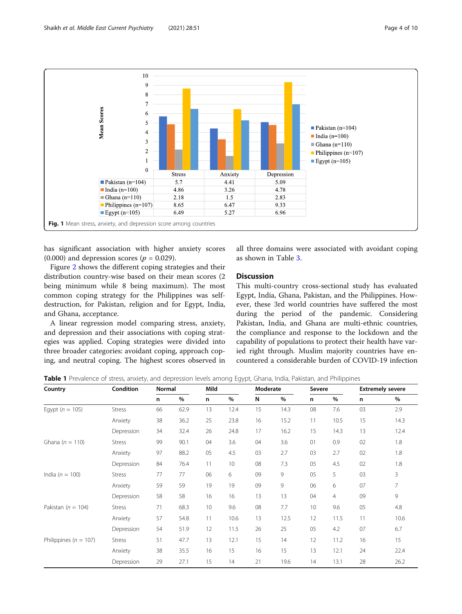<span id="page-3-0"></span>

has significant association with higher anxiety scores  $(0.000)$  and depression scores ( $p = 0.029$ ).

Figure [2](#page-5-0) shows the different coping strategies and their distribution country-wise based on their mean scores (2 being minimum while 8 being maximum). The most common coping strategy for the Philippines was selfdestruction, for Pakistan, religion and for Egypt, India, and Ghana, acceptance.

A linear regression model comparing stress, anxiety, and depression and their associations with coping strategies was applied. Coping strategies were divided into three broader categories: avoidant coping, approach coping, and neutral coping. The highest scores observed in

all three domains were associated with avoidant coping as shown in Table [3](#page-5-0).

## **Discussion**

This multi-country cross-sectional study has evaluated Egypt, India, Ghana, Pakistan, and the Philippines. However, these 3rd world countries have suffered the most during the period of the pandemic. Considering Pakistan, India, and Ghana are multi-ethnic countries, the compliance and response to the lockdown and the capability of populations to protect their health have varied right through. Muslim majority countries have encountered a considerable burden of COVID-19 infection

Table 1 Prevalence of stress, anxiety, and depression levels among Egypt, Ghana, India, Pakistan, and Philippines

| Country                   | Condition     | Normal |      | Mild |      | Moderate |      | Severe |                |    | <b>Extremely severe</b> |
|---------------------------|---------------|--------|------|------|------|----------|------|--------|----------------|----|-------------------------|
|                           |               | n      | $\%$ | n    | %    | N        | %    | n      | %              | n  | $\%$                    |
| Eqypt ( $n = 105$ )       | Stress        | 66     | 62.9 | 13   | 12.4 | 15       | 14.3 | 08     | 7.6            | 03 | 2.9                     |
|                           | Anxiety       | 38     | 36.2 | 25   | 23.8 | 16       | 15.2 | 11     | 10.5           | 15 | 14.3                    |
|                           | Depression    | 34     | 32.4 | 26   | 24.8 | 17       | 16.2 | 15     | 14.3           | 13 | 12.4                    |
| Ghana $(n = 110)$         | <b>Stress</b> | 99     | 90.1 | 04   | 3.6  | 04       | 3.6  | 01     | 0.9            | 02 | 1.8                     |
|                           | Anxiety       | 97     | 88.2 | 05   | 4.5  | 03       | 2.7  | 03     | 2.7            | 02 | 1.8                     |
|                           | Depression    | 84     | 76.4 | 11   | 10   | 08       | 7.3  | 05     | 4.5            | 02 | 1.8                     |
| India ( $n = 100$ )       | <b>Stress</b> | 77     | 77   | 06   | 6    | 09       | 9    | 05     | 5              | 03 | 3                       |
|                           | Anxiety       | 59     | 59   | 19   | 19   | 09       | 9    | 06     | 6              | 07 | 7                       |
|                           | Depression    | 58     | 58   | 16   | 16   | 13       | 13   | 04     | $\overline{4}$ | 09 | 9                       |
| Pakistan ( $n = 104$ )    | <b>Stress</b> | 71     | 68.3 | 10   | 9.6  | 08       | 7.7  | 10     | 9.6            | 05 | 4.8                     |
|                           | Anxiety       | 57     | 54.8 | 11   | 10.6 | 13       | 12.5 | 12     | 11.5           | 11 | 10.6                    |
|                           | Depression    | 54     | 51.9 | 12   | 11.5 | 26       | 25   | 05     | 4.2            | 07 | 6.7                     |
| Philippines ( $n = 107$ ) | <b>Stress</b> | 51     | 47.7 | 13   | 12.1 | 15       | 14   | 12     | 11.2           | 16 | 15                      |
|                           | Anxiety       | 38     | 35.5 | 16   | 15   | 16       | 15   | 13     | 12.1           | 24 | 22.4                    |
|                           | Depression    | 29     | 27.1 | 15   | 14   | 21       | 19.6 | 14     | 13.1           | 28 | 26.2                    |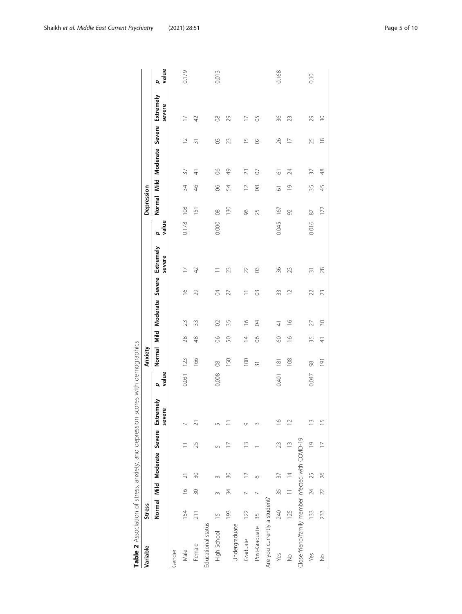<span id="page-4-0"></span>

| Variable                                          | <b>Stress</b> |                |                |                |                                                 |            | Anxiety          |                |                             |               |                     |            | Depression     |                |                      |                |                     |            |
|---------------------------------------------------|---------------|----------------|----------------|----------------|-------------------------------------------------|------------|------------------|----------------|-----------------------------|---------------|---------------------|------------|----------------|----------------|----------------------|----------------|---------------------|------------|
|                                                   |               |                |                |                | Normal Mild Moderate Severe Extremely<br>severe | value<br>σ |                  |                | Normal Mild Moderate Severe |               | Extremely<br>severe | value<br>đ |                |                | Normal Mild Moderate | Severe         | Extremely<br>severe | value<br>đ |
| Gender                                            |               |                |                |                |                                                 |            |                  |                |                             |               |                     |            |                |                |                      |                |                     |            |
| Male                                              | 154           | $\frac{8}{10}$ | $\overline{z}$ |                |                                                 | 0.031      | 123              | 28             | 23                          | $\frac{1}{2}$ | $\overline{1}$      | 0.178      | 108            | 34             | 37                   | $\supseteq$    | $\overline{1}$      | 0.179      |
| Female                                            | 211           | 30             | 30             | 25             | ಸ                                               |            | 166              | 48             | 33                          | 29            | $\overline{4}$      |            | $\overline{5}$ | $\frac{4}{6}$  | 4                    | $\overline{3}$ | $\overline{4}$      |            |
| Educational status                                |               |                |                |                |                                                 |            |                  |                |                             |               |                     |            |                |                |                      |                |                     |            |
| High School                                       | $\frac{5}{1}$ |                |                | 5              | Ln                                              | 0.008      | $\frac{8}{2}$    | $8^{\circ}$    | $\infty$                    | P             |                     | 0.000      | $\infty$       | 8              | 8 <sup>o</sup>       | S              | $\infty$            | 0.013      |
|                                                   | 193           | 34             | R              |                |                                                 |            | 150              | S              | 35                          | 27            | 23                  |            | 130            | 54             | 49                   | 23             | 29                  |            |
| Undergraduate                                     |               |                |                |                |                                                 |            |                  |                |                             |               |                     |            |                |                |                      |                |                     |            |
| Graduate                                          | 122           |                | $\supseteq$    | $\tilde{=}$    | Ō                                               |            | $\overline{0}$   | $\overline{4}$ | $\frac{8}{1}$               |               | 22                  |            | 96             | $\supseteq$    | 23                   | $\overline{5}$ |                     |            |
| Post-Graduate                                     | 35            |                | ७              |                |                                                 |            | $\overline{31}$  | 8              | P                           | S             | S                   |            | 25             | $8^{\circ}$    | $\circ$              | $\infty$       | 50                  |            |
| Are you currently a student?                      |               |                |                |                |                                                 |            |                  |                |                             |               |                     |            |                |                |                      |                |                     |            |
| Yes                                               | 240           | 35             | 37             | 23             | $\frac{6}{2}$                                   | 0.401      | $\frac{18}{1}$   | 8              | ₹                           | 33            | 36                  | 0.045      | 167            | 5              | 5                    | 26             | 36                  | 0.168      |
| $\frac{1}{2}$                                     | 125           | $\frac{1}{2}$  | $\overline{4}$ | ≅              | $\supseteq$                                     |            | 108              | $\frac{8}{1}$  | $\frac{6}{1}$               | $\supseteq$   | 23                  |            | 92             | $\overline{0}$ | 24                   | $\overline{a}$ | 23                  |            |
| Close friend/family member infected with COVID-19 |               |                |                |                |                                                 |            |                  |                |                             |               |                     |            |                |                |                      |                |                     |            |
| Yes                                               | 133           | 24             | 25             | $\overline{0}$ | $\frac{3}{2}$                                   | 0.047      | 98               | 35             | 27                          | 22            | 忘                   | 0.016      | 87             | 35             | 37                   | 25             | 29                  | 0.10       |
| $\frac{1}{2}$                                     | 233           | 22             | 26             | $\overline{1}$ | $\overline{1}$                                  |            | $\overline{191}$ | $\frac{4}{3}$  | $\approx$                   | 23            | 28                  |            | 172            | 45             | 48                   | $\frac{8}{10}$ | $\approx$           |            |
|                                                   |               |                |                |                |                                                 |            |                  |                |                             |               |                     |            |                |                |                      |                |                     |            |

|                          | j                                                                                     |
|--------------------------|---------------------------------------------------------------------------------------|
|                          |                                                                                       |
|                          |                                                                                       |
| $\overline{\phantom{a}}$ | J                                                                                     |
| Ī                        | Ş                                                                                     |
|                          |                                                                                       |
|                          | ï                                                                                     |
|                          |                                                                                       |
|                          |                                                                                       |
|                          | )<br>)<br>)                                                                           |
|                          |                                                                                       |
|                          |                                                                                       |
|                          |                                                                                       |
|                          |                                                                                       |
|                          |                                                                                       |
|                          |                                                                                       |
| I                        | j                                                                                     |
| ļ                        |                                                                                       |
|                          |                                                                                       |
| I                        | J                                                                                     |
|                          |                                                                                       |
| i                        |                                                                                       |
| I                        | ֖֖֖֖֖֖֖֖֖֖֧ׅ֖ׅ֖֖֖֧֖ׅ֖֖֧֪ׅ֖֧֖֖֖֧֪ׅ֧֖֧֪ׅ֖֧ׅ֧֚֚֚֚֚֚֚֚֚֚֚֚֚֚֚֚֚֚֚֚֚֚֚֚֚֚֚֡֝֝֓֝֓֞֝֝֞֞֝֝֝֝֝ |
|                          |                                                                                       |
|                          |                                                                                       |
|                          |                                                                                       |
|                          |                                                                                       |
|                          | $-20.114$                                                                             |
|                          |                                                                                       |
|                          | ١                                                                                     |
|                          | ١                                                                                     |
|                          | ;                                                                                     |
|                          |                                                                                       |
|                          | $-201 + 101$<br>֦֧֦֧֦֡֡֡                                                              |
|                          |                                                                                       |
| i<br>!                   |                                                                                       |
|                          |                                                                                       |
| į                        |                                                                                       |
| j                        |                                                                                       |
| I                        |                                                                                       |
| Ì<br>ł                   |                                                                                       |
| ţ                        |                                                                                       |
|                          | ŕ,                                                                                    |
| َم<br>م                  | ľ                                                                                     |
|                          | I<br>1                                                                                |
|                          |                                                                                       |
| I                        |                                                                                       |
|                          | :                                                                                     |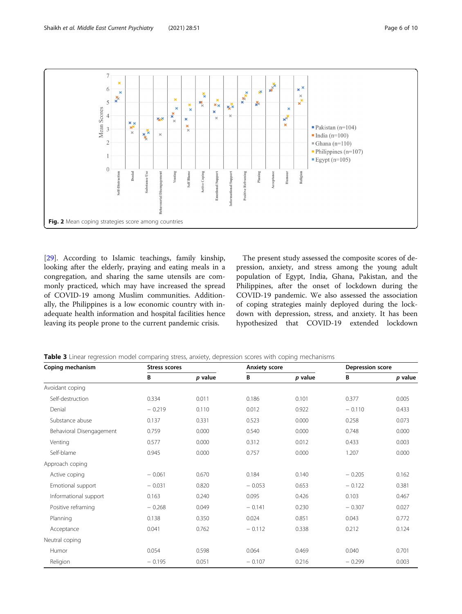<span id="page-5-0"></span>

[[29\]](#page-9-0). According to Islamic teachings, family kinship, looking after the elderly, praying and eating meals in a congregation, and sharing the same utensils are commonly practiced, which may have increased the spread of COVID-19 among Muslim communities. Additionally, the Philippines is a low economic country with inadequate health information and hospital facilities hence leaving its people prone to the current pandemic crisis.

The present study assessed the composite scores of depression, anxiety, and stress among the young adult population of Egypt, India, Ghana, Pakistan, and the Philippines, after the onset of lockdown during the COVID-19 pandemic. We also assessed the association of coping strategies mainly deployed during the lockdown with depression, stress, and anxiety. It has been hypothesized that COVID-19 extended lockdown

Table 3 Linear regression model comparing stress, anxiety, depression scores with coping mechanisms

| Coping mechanism         | <b>Stress scores</b> |           | <b>Anxiety score</b> |           | Depression score |         |
|--------------------------|----------------------|-----------|----------------------|-----------|------------------|---------|
|                          | В                    | $p$ value | В                    | $p$ value | В                | p value |
| Avoidant coping          |                      |           |                      |           |                  |         |
| Self-destruction         | 0.334                | 0.011     | 0.186                | 0.101     | 0.377            | 0.005   |
| Denial                   | $-0.219$             | 0.110     | 0.012                | 0.922     | $-0.110$         | 0.433   |
| Substance abuse          | 0.137                | 0.331     | 0.523                | 0.000     | 0.258            | 0.073   |
| Behavioral Disengagement | 0.759                | 0.000     | 0.540                | 0.000     | 0.748            | 0.000   |
| Venting                  | 0.577                | 0.000     | 0.312                | 0.012     | 0.433            | 0.003   |
| Self-blame               | 0.945                | 0.000     | 0.757                | 0.000     | 1.207            | 0.000   |
| Approach coping          |                      |           |                      |           |                  |         |
| Active coping            | $-0.061$             | 0.670     | 0.184                | 0.140     | $-0.205$         | 0.162   |
| Emotional support        | $-0.031$             | 0.820     | $-0.053$             | 0.653     | $-0.122$         | 0.381   |
| Informational support    | 0.163                | 0.240     | 0.095                | 0.426     | 0.103            | 0.467   |
| Positive reframing       | $-0.268$             | 0.049     | $-0.141$             | 0.230     | $-0.307$         | 0.027   |
| Planning                 | 0.138                | 0.350     | 0.024                | 0.851     | 0.043            | 0.772   |
| Acceptance               | 0.041                | 0.762     | $-0.112$             | 0.338     | 0.212            | 0.124   |
| Neutral coping           |                      |           |                      |           |                  |         |
| Humor                    | 0.054                | 0.598     | 0.064                | 0.469     | 0.040            | 0.701   |
| Religion                 | $-0.195$             | 0.051     | $-0.107$             | 0.216     | $-0.299$         | 0.003   |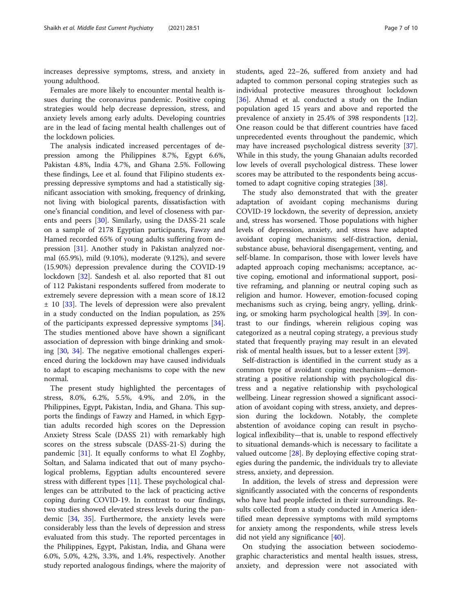increases depressive symptoms, stress, and anxiety in young adulthood.

Females are more likely to encounter mental health issues during the coronavirus pandemic. Positive coping strategies would help decrease depression, stress, and anxiety levels among early adults. Developing countries are in the lead of facing mental health challenges out of the lockdown policies.

The analysis indicated increased percentages of depression among the Philippines 8.7%, Egypt 6.6%, Pakistan 4.8%, India 4.7%, and Ghana 2.5%. Following these findings, Lee et al. found that Filipino students expressing depressive symptoms and had a statistically significant association with smoking, frequency of drinking, not living with biological parents, dissatisfaction with one's financial condition, and level of closeness with parents and peers [\[30](#page-9-0)]. Similarly, using the DASS-21 scale on a sample of 2178 Egyptian participants, Fawzy and Hamed recorded 65% of young adults suffering from depression [\[31](#page-9-0)]. Another study in Pakistan analyzed normal (65.9%), mild (9.10%), moderate (9.12%), and severe (15.90%) depression prevalence during the COVID-19 lockdown [\[32](#page-9-0)]. Sandesh et al. also reported that 81 out of 112 Pakistani respondents suffered from moderate to extremely severe depression with a mean score of 18.12  $\pm$  10 [[33](#page-9-0)]. The levels of depression were also prevalent in a study conducted on the Indian population, as 25% of the participants expressed depressive symptoms [\[34](#page-9-0)]. The studies mentioned above have shown a significant association of depression with binge drinking and smoking [[30,](#page-9-0) [34\]](#page-9-0). The negative emotional challenges experienced during the lockdown may have caused individuals to adapt to escaping mechanisms to cope with the new normal.

The present study highlighted the percentages of stress, 8.0%, 6.2%, 5.5%, 4.9%, and 2.0%, in the Philippines, Egypt, Pakistan, India, and Ghana. This supports the findings of Fawzy and Hamed, in which Egyptian adults recorded high scores on the Depression Anxiety Stress Scale (DASS 21) with remarkably high scores on the stress subscale (DASS-21-S) during the pandemic [[31\]](#page-9-0). It equally conforms to what El Zoghby, Soltan, and Salama indicated that out of many psychological problems, Egyptian adults encountered severe stress with different types [[11](#page-8-0)]. These psychological challenges can be attributed to the lack of practicing active coping during COVID-19. In contrast to our findings, two studies showed elevated stress levels during the pandemic [\[34](#page-9-0), [35](#page-9-0)]. Furthermore, the anxiety levels were considerably less than the levels of depression and stress evaluated from this study. The reported percentages in the Philippines, Egypt, Pakistan, India, and Ghana were 6.0%, 5.0%, 4.2%, 3.3%, and 1.4%, respectively. Another study reported analogous findings, where the majority of students, aged 22–26, suffered from anxiety and had adapted to common personal coping strategies such as individual protective measures throughout lockdown [[36\]](#page-9-0). Ahmad et al. conducted a study on the Indian population aged 15 years and above and reported the prevalence of anxiety in 25.4% of 398 respondents [\[12](#page-8-0)]. One reason could be that different countries have faced unprecedented events throughout the pandemic, which may have increased psychological distress severity [\[37](#page-9-0)]. While in this study, the young Ghanaian adults recorded low levels of overall psychological distress. These lower scores may be attributed to the respondents being accustomed to adapt cognitive coping strategies [[38](#page-9-0)].

The study also demonstrated that with the greater adaptation of avoidant coping mechanisms during COVID-19 lockdown, the severity of depression, anxiety and, stress has worsened. Those populations with higher levels of depression, anxiety, and stress have adapted avoidant coping mechanisms; self-distraction, denial, substance abuse, behavioral disengagement, venting, and self-blame. In comparison, those with lower levels have adapted approach coping mechanisms; acceptance, active coping, emotional and informational support, positive reframing, and planning or neutral coping such as religion and humor. However, emotion-focused coping mechanisms such as crying, being angry, yelling, drinking, or smoking harm psychological health [\[39\]](#page-9-0). In contrast to our findings, wherein religious coping was categorized as a neutral coping strategy, a previous study stated that frequently praying may result in an elevated risk of mental health issues, but to a lesser extent [\[39](#page-9-0)].

Self-distraction is identified in the current study as a common type of avoidant coping mechanism—demonstrating a positive relationship with psychological distress and a negative relationship with psychological wellbeing. Linear regression showed a significant association of avoidant coping with stress, anxiety, and depression during the lockdown. Notably, the complete abstention of avoidance coping can result in psychological inflexibility—that is, unable to respond effectively to situational demands-which is necessary to facilitate a valued outcome [[28\]](#page-9-0). By deploying effective coping strategies during the pandemic, the individuals try to alleviate stress, anxiety, and depression.

In addition, the levels of stress and depression were significantly associated with the concerns of respondents who have had people infected in their surroundings. Results collected from a study conducted in America identified mean depressive symptoms with mild symptoms for anxiety among the respondents, while stress levels did not yield any significance [\[40\]](#page-9-0).

On studying the association between sociodemographic characteristics and mental health issues, stress, anxiety, and depression were not associated with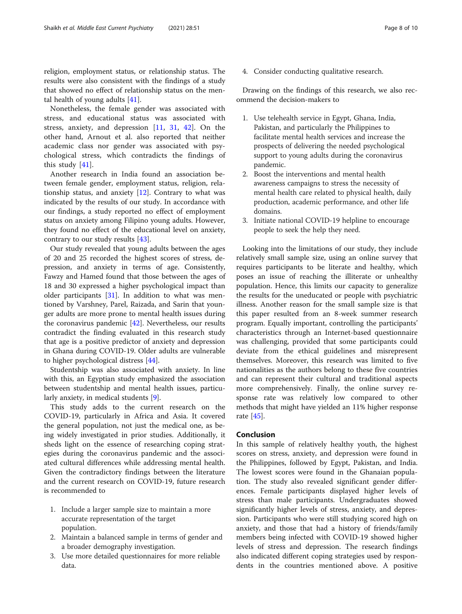religion, employment status, or relationship status. The results were also consistent with the findings of a study that showed no effect of relationship status on the mental health of young adults [\[41](#page-9-0)].

Nonetheless, the female gender was associated with stress, and educational status was associated with stress, anxiety, and depression [[11,](#page-8-0) [31,](#page-9-0) [42\]](#page-9-0). On the other hand, Arnout et al. also reported that neither academic class nor gender was associated with psychological stress, which contradicts the findings of this study [\[41](#page-9-0)].

Another research in India found an association between female gender, employment status, religion, relationship status, and anxiety [\[12](#page-8-0)]. Contrary to what was indicated by the results of our study. In accordance with our findings, a study reported no effect of employment status on anxiety among Filipino young adults. However, they found no effect of the educational level on anxiety, contrary to our study results [[43\]](#page-9-0).

Our study revealed that young adults between the ages of 20 and 25 recorded the highest scores of stress, depression, and anxiety in terms of age. Consistently, Fawzy and Hamed found that those between the ages of 18 and 30 expressed a higher psychological impact than older participants [[31\]](#page-9-0). In addition to what was mentioned by Varshney, Parel, Raizada, and Sarin that younger adults are more prone to mental health issues during the coronavirus pandemic [[42](#page-9-0)]. Nevertheless, our results contradict the finding evaluated in this research study that age is a positive predictor of anxiety and depression in Ghana during COVID-19. Older adults are vulnerable to higher psychological distress [[44\]](#page-9-0).

Studentship was also associated with anxiety. In line with this, an Egyptian study emphasized the association between studentship and mental health issues, particularly anxiety, in medical students [\[9](#page-8-0)].

This study adds to the current research on the COVID-19, particularly in Africa and Asia. It covered the general population, not just the medical one, as being widely investigated in prior studies. Additionally, it sheds light on the essence of researching coping strategies during the coronavirus pandemic and the associated cultural differences while addressing mental health. Given the contradictory findings between the literature and the current research on COVID-19, future research is recommended to

- 1. Include a larger sample size to maintain a more accurate representation of the target population.
- 2. Maintain a balanced sample in terms of gender and a broader demography investigation.
- 3. Use more detailed questionnaires for more reliable data.

4. Consider conducting qualitative research.

Drawing on the findings of this research, we also recommend the decision-makers to

- 1. Use telehealth service in Egypt, Ghana, India, Pakistan, and particularly the Philippines to facilitate mental health services and increase the prospects of delivering the needed psychological support to young adults during the coronavirus pandemic.
- 2. Boost the interventions and mental health awareness campaigns to stress the necessity of mental health care related to physical health, daily production, academic performance, and other life domains.
- 3. Initiate national COVID-19 helpline to encourage people to seek the help they need.

Looking into the limitations of our study, they include relatively small sample size, using an online survey that requires participants to be literate and healthy, which poses an issue of reaching the illiterate or unhealthy population. Hence, this limits our capacity to generalize the results for the uneducated or people with psychiatric illness. Another reason for the small sample size is that this paper resulted from an 8-week summer research program. Equally important, controlling the participants' characteristics through an Internet-based questionnaire was challenging, provided that some participants could deviate from the ethical guidelines and misrepresent themselves. Moreover, this research was limited to five nationalities as the authors belong to these five countries and can represent their cultural and traditional aspects more comprehensively. Finally, the online survey response rate was relatively low compared to other methods that might have yielded an 11% higher response rate [\[45](#page-9-0)].

## Conclusion

In this sample of relatively healthy youth, the highest scores on stress, anxiety, and depression were found in the Philippines, followed by Egypt, Pakistan, and India. The lowest scores were found in the Ghanaian population. The study also revealed significant gender differences. Female participants displayed higher levels of stress than male participants. Undergraduates showed significantly higher levels of stress, anxiety, and depression. Participants who were still studying scored high on anxiety, and those that had a history of friends/family members being infected with COVID-19 showed higher levels of stress and depression. The research findings also indicated different coping strategies used by respondents in the countries mentioned above. A positive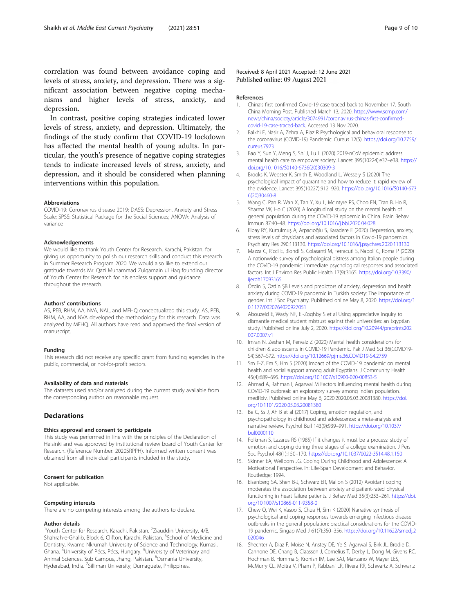<span id="page-8-0"></span>correlation was found between avoidance coping and levels of stress, anxiety, and depression. There was a significant association between negative coping mechanisms and higher levels of stress, anxiety, and depression.

In contrast, positive coping strategies indicated lower levels of stress, anxiety, and depression. Ultimately, the findings of the study confirm that COVID-19 lockdown has affected the mental health of young adults. In particular, the youth's presence of negative coping strategies tends to indicate increased levels of stress, anxiety, and depression, and it should be considered when planning interventions within this population.

#### Abbreviations

COVID-19: Coronavirus disease 2019; DASS: Depression, Anxiety and Stress Scale; SPSS: Statistical Package for the Social Sciences; ANOVA: Analysis of variance

#### Acknowledgements

We would like to thank Youth Center for Research, Karachi, Pakistan, for giving us opportunity to polish our research skills and conduct this research in Summer Research Program 2020. We would also like to extend our gratitude towards Mr. Qazi Muhammad Zulqarnain ul Haq founding director of Youth Center for Research for his endless support and guidance throughout the research.

#### Authors' contributions

AS, PEB, RHM, AA, NVA, NAL, and MFHQ conceptualized this study. AS, PEB, RHM, AA, and NVA developed the methodology for this research. Data was analyzed by MFHQ. All authors have read and approved the final version of manuscript.

#### Funding

This research did not receive any specific grant from funding agencies in the public, commercial, or not-for-profit sectors.

#### Availability of data and materials

The datasets used and/or analyzed during the current study available from the corresponding author on reasonable request.

## Declarations

#### Ethics approval and consent to participate

This study was performed in line with the principles of the Declaration of Helsinki and was approved by institutional review board of Youth Center for Research. (Reference Number: 2020SRPPH). Informed written consent was obtained from all individual participants included in the study.

#### Consent for publication

Not applicable.

#### Competing interests

There are no competing interests among the authors to declare.

#### Author details

<sup>1</sup>Youth Center for Research, Karachi, Pakistan. <sup>2</sup>Ziauddin University, 4/B, Shahrah-e-Ghalib, Block 6, Clifton, Karachi, Pakistan. <sup>3</sup>School of Medicine and Dentistry, Kwame Nkrumah University of Science and Technology, Kumasi, Ghana. <sup>4</sup>University of Pécs, Pécs, Hungary. <sup>5</sup>University of Veterinary and Animal Sciences, Sub Campus, Jhang, Pakistan. <sup>6</sup>Osmania University, Hyderabad, India. <sup>7</sup>Silliman University, Dumaguete, Philippines.

#### References

- 1. China's first confirmed Covid-19 case traced back to November 17. South China Morning Post. Published March 13, 2020. [https://www.scmp.com/](https://www.scmp.com/news/china/society/article/3074991/coronavirus-chinas-first-confirmed-covid-19-case-traced-back) [news/china/society/article/3074991/coronavirus-chinas-first-confirmed](https://www.scmp.com/news/china/society/article/3074991/coronavirus-chinas-first-confirmed-covid-19-case-traced-back)[covid-19-case-traced-back.](https://www.scmp.com/news/china/society/article/3074991/coronavirus-chinas-first-confirmed-covid-19-case-traced-back) Accessed 13 Nov 2020.
- 2. Balkhi F, Nasir A, Zehra A, Riaz R Psychological and behavioral response to the coronavirus (COVID-19) Pandemic. Cureus 12(5). [https://doi.org/10.7759/](https://doi.org/10.7759/cureus.7923) [cureus.7923](https://doi.org/10.7759/cureus.7923)
- 3. Bao Y, Sun Y, Meng S, Shi J, Lu L (2020) 2019-nCoV epidemic: address mental health care to empower society. Lancet 395(10224):e37–e38. [https://](https://doi.org/10.1016/S0140-6736(20)30309-3) [doi.org/10.1016/S0140-6736\(20\)30309-3](https://doi.org/10.1016/S0140-6736(20)30309-3)
- 4. Brooks K, Webster K, Smith E, Woodland L, Wessely S (2020) The psychological impact of quarantine and how to reduce it: rapid review of the evidence. Lancet 395(10227):912–920. [https://doi.org/10.1016/S0140-673](https://doi.org/10.1016/S0140-6736(20)30460-8) [6\(20\)30460-8](https://doi.org/10.1016/S0140-6736(20)30460-8)
- 5. Wang C, Pan R, Wan X, Tan Y, Xu L, McIntyre RS, Choo FN, Tran B, Ho R, Sharma VK, Ho C (2020) A longitudinal study on the mental health of general population during the COVID-19 epidemic in China. Brain Behav Immun 87:40–48. <https://doi.org/10.1016/j.bbi.2020.04.028>
- 6. Elbay RY, Kurtulmuş A, Arpacıoğlu S, Karadere E (2020) Depression, anxiety, stress levels of physicians and associated factors in Covid-19 pandemics. Psychiatry Res 290:113130. <https://doi.org/10.1016/j.psychres.2020.113130>
- 7. Mazza C, Ricci E, Biondi S, Colasanti M, Ferracuti S, Napoli C, Roma P (2020) A nationwide survey of psychological distress among Italian people during the COVID-19 pandemic: immediate psychological responses and associated factors. Int J Environ Res Public Health 17(9):3165. [https://doi.org/10.3390/](https://doi.org/10.3390/ijerph17093165) [ijerph17093165](https://doi.org/10.3390/ijerph17093165)
- 8. Özdin S, Özdin ŞB Levels and predictors of anxiety, depression and health anxiety during COVID-19 pandemic in Turkish society: The importance of gender. Int J Soc Psychiatry. Published online May 8, 2020. [https://doi.org/1](https://doi.org/10.1177/0020764020927051) [0.1177/0020764020927051](https://doi.org/10.1177/0020764020927051)
- 9. Abouzeid E, Wasfy NF, El-Zoghby S et al Using appreciative inquiry to dismantle medical student mistrust against their universities: an Egyptian study. Published online July 2, 2020. [https://doi.org/10.20944/preprints202](https://doi.org/10.20944/preprints202007.0007.v1) [007.0007.v1](https://doi.org/10.20944/preprints202007.0007.v1)
- 10. Imran N, Zeshan M, Pervaiz Z (2020) Mental health considerations for children & adolescents in COVID-19 Pandemic. Pak J Med Sci 36(COVID19- S4):S67–S72. <https://doi.org/10.12669/pjms.36.COVID19-S4.2759>
- 11. Sm E-Z, Em S, Hm S (2020) Impact of the COVID-19 pandemic on mental health and social support among adult Egyptians. J Community Health 45(4):689–695. <https://doi.org/10.1007/s10900-020-00853-5>
- 12. Ahmad A, Rahman I, Agarwal M Factors influencing mental health during COVID-19 outbreak: an exploratory survey among Indian population. medRxiv. Published online May 6, 2020:2020.05.03.20081380. [https://doi.](https://doi.org/10.1101/2020.05.03.20081380) [org/10.1101/2020.05.03.20081380](https://doi.org/10.1101/2020.05.03.20081380)
- 13. Be C, Ss J, Ah B et al (2017) Coping, emotion regulation, and psychopathology in childhood and adolescence: a meta-analysis and narrative review. Psychol Bull 143(9):939–991. [https://doi.org/10.1037/](https://doi.org/10.1037/bul0000110) [bul0000110](https://doi.org/10.1037/bul0000110)
- 14. Folkman S, Lazarus RS (1985) If it changes it must be a process: study of emotion and coping during three stages of a college examination. J Pers Soc Psychol 48(1):150–170. <https://doi.org/10.1037/0022-3514.48.1.150>
- 15. Skinner EA, Wellborn JG. Coping During Childhood and Adolescence: A Motivational Perspective. In: Life-Span Development and Behavior. Routledge; 1994.
- 16. Eisenberg SA, Shen B-J, Schwarz ER, Mallon S (2012) Avoidant coping moderates the association between anxiety and patient-rated physical functioning in heart failure patients. J Behav Med 35(3):253–261. [https://doi.](https://doi.org/10.1007/s10865-011-9358-0) [org/10.1007/s10865-011-9358-0](https://doi.org/10.1007/s10865-011-9358-0)
- 17. Chew Q, Wei K, Vasoo S, Chua H, Sim K (2020) Narrative synthesis of psychological and coping responses towards emerging infectious disease outbreaks in the general population: practical considerations for the COVID-19 pandemic. Singap Med J 61(7):350–356. [https://doi.org/10.11622/smedj.2](https://doi.org/10.11622/smedj.2020046) [020046](https://doi.org/10.11622/smedj.2020046)
- 18. Shechter A, Diaz F, Moise N, Anstey DE, Ye S, Agarwal S, Birk JL, Brodie D, Cannone DE, Chang B, Claassen J, Cornelius T, Derby L, Dong M, Givens RC, Hochman B, Homma S, Kronish IM, Lee SAJ, Manzano W, Mayer LES, McMurry CL, Moitra V, Pham P, Rabbani LR, Rivera RR, Schwartz A, Schwartz